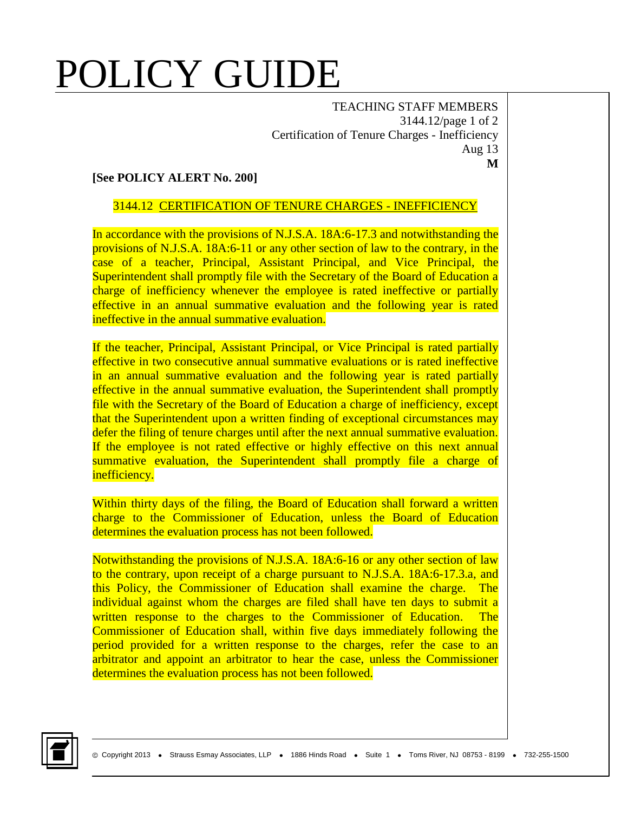# POLICY GUIDE

TEACHING STAFF MEMBERS 3144.12/page 1 of 2 Certification of Tenure Charges - Inefficiency Aug 13 **M**

### **[See POLICY ALERT No. 200]**

#### 3144.12 CERTIFICATION OF TENURE CHARGES - INEFFICIENCY

In accordance with the provisions of N.J.S.A. 18A:6-17.3 and notwithstanding the provisions of N.J.S.A. 18A:6-11 or any other section of law to the contrary, in the case of a teacher, Principal, Assistant Principal, and Vice Principal, the Superintendent shall promptly file with the Secretary of the Board of Education a charge of inefficiency whenever the employee is rated ineffective or partially effective in an annual summative evaluation and the following year is rated ineffective in the annual summative evaluation.

If the teacher, Principal, Assistant Principal, or Vice Principal is rated partially effective in two consecutive annual summative evaluations or is rated ineffective in an annual summative evaluation and the following year is rated partially effective in the annual summative evaluation, the Superintendent shall promptly file with the Secretary of the Board of Education a charge of inefficiency, except that the Superintendent upon a written finding of exceptional circumstances may defer the filing of tenure charges until after the next annual summative evaluation. If the employee is not rated effective or highly effective on this next annual summative evaluation, the Superintendent shall promptly file a charge of inefficiency.

Within thirty days of the filing, the Board of Education shall forward a written charge to the Commissioner of Education, unless the Board of Education determines the evaluation process has not been followed.

Notwithstanding the provisions of N.J.S.A. 18A:6-16 or any other section of law to the contrary, upon receipt of a charge pursuant to N.J.S.A. 18A:6-17.3.a, and this Policy, the Commissioner of Education shall examine the charge. The individual against whom the charges are filed shall have ten days to submit a written response to the charges to the Commissioner of Education. The Commissioner of Education shall, within five days immediately following the period provided for a written response to the charges, refer the case to an arbitrator and appoint an arbitrator to hear the case, unless the Commissioner determines the evaluation process has not been followed.

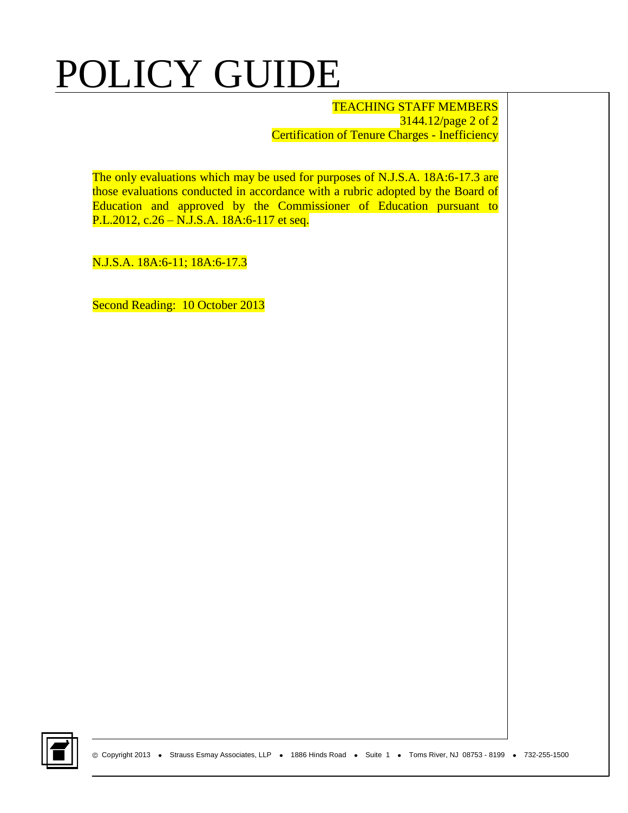## POLICY GUIDE

TEACHING STAFF MEMBERS 3144.12/page 2 of 2 Certification of Tenure Charges - Inefficiency

The only evaluations which may be used for purposes of N.J.S.A. 18A:6-17.3 are those evaluations conducted in accordance with a rubric adopted by the Board of Education and approved by the Commissioner of Education pursuant to P.L.2012, c.26 – N.J.S.A. 18A:6-117 et seq.

N.J.S.A. 18A:6-11; 18A:6-17.3

Second Reading: 10 October 2013